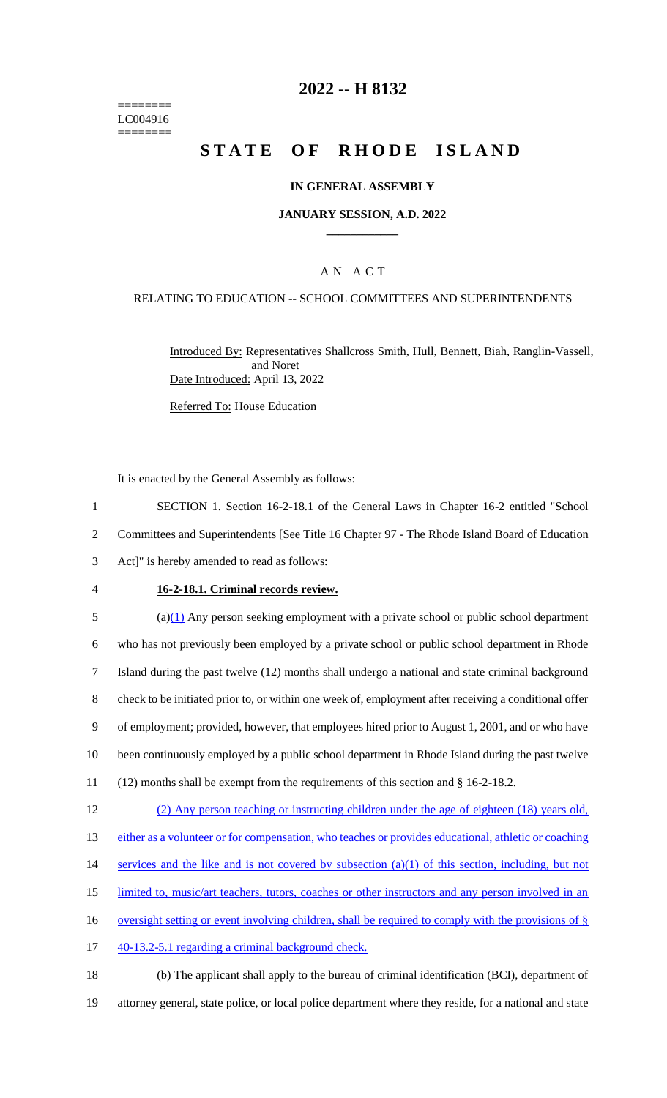======== LC004916 ========

## **2022 -- H 8132**

# **STATE OF RHODE ISLAND**

### **IN GENERAL ASSEMBLY**

### **JANUARY SESSION, A.D. 2022 \_\_\_\_\_\_\_\_\_\_\_\_**

### A N A C T

### RELATING TO EDUCATION -- SCHOOL COMMITTEES AND SUPERINTENDENTS

Introduced By: Representatives Shallcross Smith, Hull, Bennett, Biah, Ranglin-Vassell, and Noret Date Introduced: April 13, 2022

Referred To: House Education

It is enacted by the General Assembly as follows:

1 SECTION 1. Section 16-2-18.1 of the General Laws in Chapter 16-2 entitled "School 2 Committees and Superintendents [See Title 16 Chapter 97 - The Rhode Island Board of Education 3 Act]" is hereby amended to read as follows:

- 
- 

### 4 **16-2-18.1. Criminal records review.**

 (a)(1) Any person seeking employment with a private school or public school department who has not previously been employed by a private school or public school department in Rhode Island during the past twelve (12) months shall undergo a national and state criminal background check to be initiated prior to, or within one week of, employment after receiving a conditional offer of employment; provided, however, that employees hired prior to August 1, 2001, and or who have been continuously employed by a public school department in Rhode Island during the past twelve (12) months shall be exempt from the requirements of this section and § 16-2-18.2. (2) Any person teaching or instructing children under the age of eighteen (18) years old, either as a volunteer or for compensation, who teaches or provides educational, athletic or coaching

- 14 services and the like and is not covered by subsection (a)(1) of this section, including, but not
- 15 limited to, music/art teachers, tutors, coaches or other instructors and any person involved in an
- 16 oversight setting or event involving children, shall be required to comply with the provisions of §
- 17 40-13.2-5.1 regarding a criminal background check.

18 (b) The applicant shall apply to the bureau of criminal identification (BCI), department of 19 attorney general, state police, or local police department where they reside, for a national and state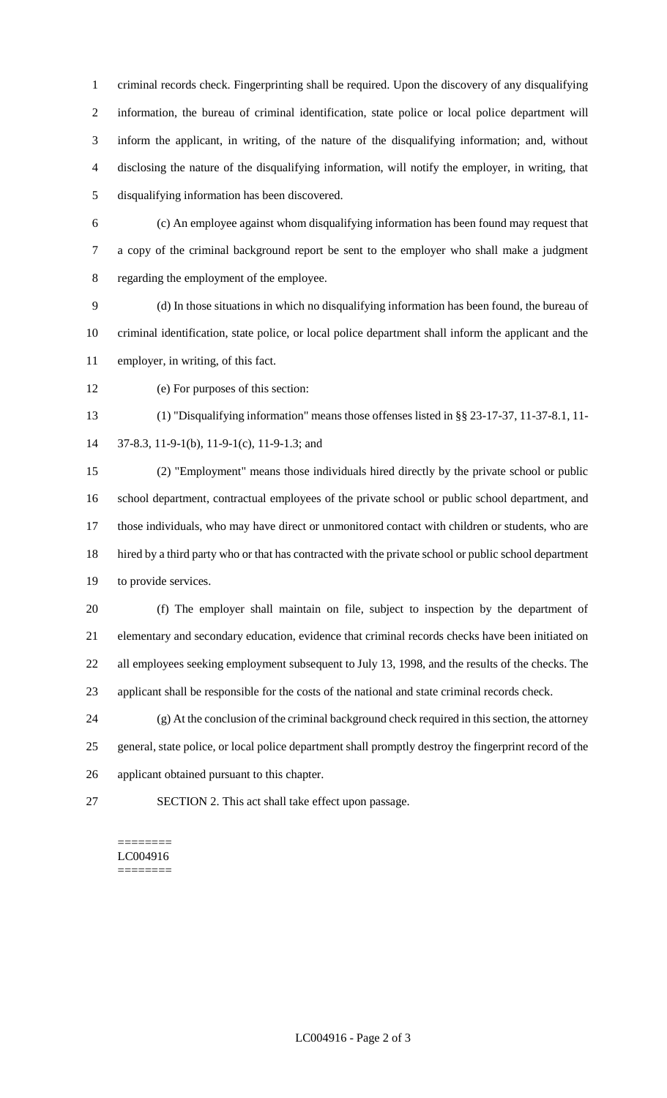criminal records check. Fingerprinting shall be required. Upon the discovery of any disqualifying information, the bureau of criminal identification, state police or local police department will inform the applicant, in writing, of the nature of the disqualifying information; and, without disclosing the nature of the disqualifying information, will notify the employer, in writing, that disqualifying information has been discovered.

 (c) An employee against whom disqualifying information has been found may request that a copy of the criminal background report be sent to the employer who shall make a judgment regarding the employment of the employee.

 (d) In those situations in which no disqualifying information has been found, the bureau of criminal identification, state police, or local police department shall inform the applicant and the employer, in writing, of this fact.

(e) For purposes of this section:

 (1) "Disqualifying information" means those offenses listed in §§ 23-17-37, 11-37-8.1, 11- 37-8.3, 11-9-1(b), 11-9-1(c), 11-9-1.3; and

 (2) "Employment" means those individuals hired directly by the private school or public school department, contractual employees of the private school or public school department, and those individuals, who may have direct or unmonitored contact with children or students, who are hired by a third party who or that has contracted with the private school or public school department to provide services.

 (f) The employer shall maintain on file, subject to inspection by the department of elementary and secondary education, evidence that criminal records checks have been initiated on all employees seeking employment subsequent to July 13, 1998, and the results of the checks. The applicant shall be responsible for the costs of the national and state criminal records check.

 (g) At the conclusion of the criminal background check required in this section, the attorney general, state police, or local police department shall promptly destroy the fingerprint record of the applicant obtained pursuant to this chapter.

SECTION 2. This act shall take effect upon passage.

#### ======== LC004916 ========